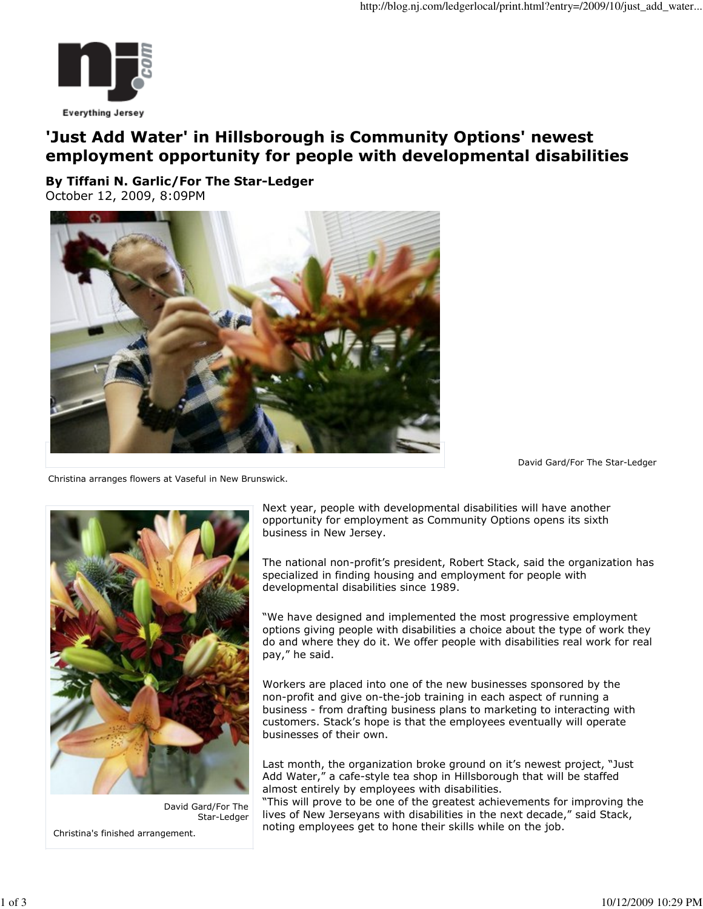

## 'Just Add Water' in Hillsborough is Community Options' newest employment opportunity for people with developmental disabilities

By Tiffani N. Garlic/For The Star-Ledger October 12, 2009, 8:09PM



Christina arranges flowers at Vaseful in New Brunswick.

David Gard/For The Star-Ledger



David Gard/For The Star-Ledger Christina's finished arrangement.

Next year, people with developmental disabilities will have another opportunity for employment as Community Options opens its sixth business in New Jersey.

The national non-profit's president, Robert Stack, said the organization has specialized in finding housing and employment for people with developmental disabilities since 1989.

"We have designed and implemented the most progressive employment options giving people with disabilities a choice about the type of work they do and where they do it. We offer people with disabilities real work for real pay," he said.

Workers are placed into one of the new businesses sponsored by the non-profit and give on-the-job training in each aspect of running a business - from drafting business plans to marketing to interacting with customers. Stack's hope is that the employees eventually will operate businesses of their own.

Last month, the organization broke ground on it's newest project, "Just Add Water," a cafe-style tea shop in Hillsborough that will be staffed almost entirely by employees with disabilities.

"This will prove to be one of the greatest achievements for improving the lives of New Jerseyans with disabilities in the next decade," said Stack, noting employees get to hone their skills while on the job.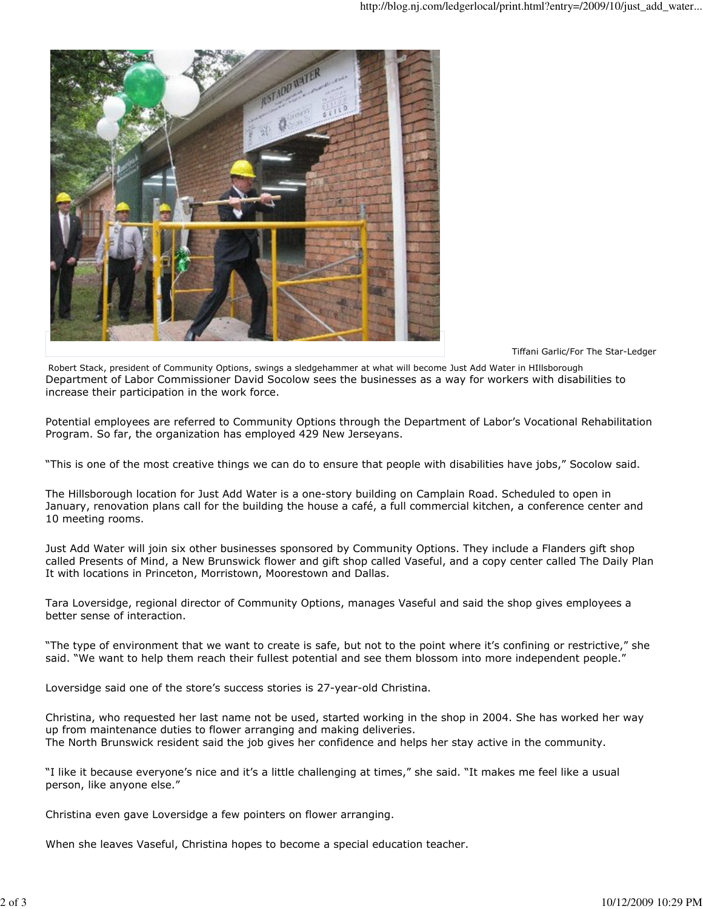

Tiffani Garlic/For The Star-Ledger

Robert Stack, president of Community Options, swings a sledgehammer at what will become Just Add Water in HIllsborough Department of Labor Commissioner David Socolow sees the businesses as a way for workers with disabilities to increase their participation in the work force.

Potential employees are referred to Community Options through the Department of Labor's Vocational Rehabilitation Program. So far, the organization has employed 429 New Jerseyans.

"This is one of the most creative things we can do to ensure that people with disabilities have jobs," Socolow said.

The Hillsborough location for Just Add Water is a one-story building on Camplain Road. Scheduled to open in January, renovation plans call for the building the house a café, a full commercial kitchen, a conference center and 10 meeting rooms.

Just Add Water will join six other businesses sponsored by Community Options. They include a Flanders gift shop called Presents of Mind, a New Brunswick flower and gift shop called Vaseful, and a copy center called The Daily Plan It with locations in Princeton, Morristown, Moorestown and Dallas.

Tara Loversidge, regional director of Community Options, manages Vaseful and said the shop gives employees a better sense of interaction.

"The type of environment that we want to create is safe, but not to the point where it's confining or restrictive," she said. "We want to help them reach their fullest potential and see them blossom into more independent people."

Loversidge said one of the store's success stories is 27-year-old Christina.

Christina, who requested her last name not be used, started working in the shop in 2004. She has worked her way up from maintenance duties to flower arranging and making deliveries. The North Brunswick resident said the job gives her confidence and helps her stay active in the community.

"I like it because everyone's nice and it's a little challenging at times," she said. "It makes me feel like a usual person, like anyone else."

Christina even gave Loversidge a few pointers on flower arranging.

When she leaves Vaseful, Christina hopes to become a special education teacher.